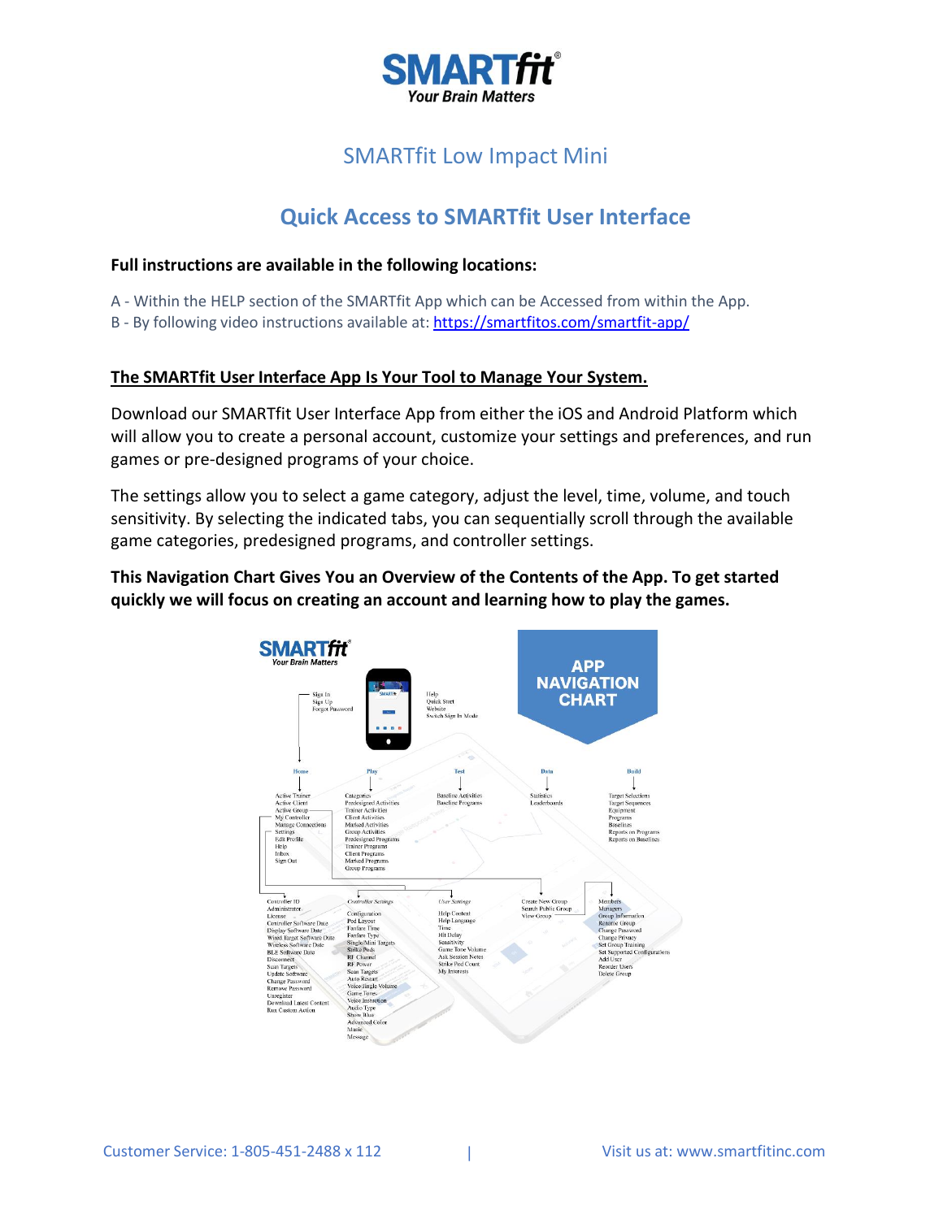

# SMARTfit Low Impact Mini

# **Quick Access to SMARTfit User Interface**

### **Full instructions are available in the following locations:**

A - Within the HELP section of the SMARTfit App which can be Accessed from within the App.

B - By following video instructions available at: <https://smartfitos.com/smartfit-app/>

## **The SMARTfit User Interface App Is Your Tool to Manage Your System.**

Download our SMARTfit User Interface App from either the iOS and Android Platform which will allow you to create a personal account, customize your settings and preferences, and run games or pre-designed programs of your choice.

The settings allow you to select a game category, adjust the level, time, volume, and touch sensitivity. By selecting the indicated tabs, you can sequentially scroll through the available game categories, predesigned programs, and controller settings.

**This Navigation Chart Gives You an Overview of the Contents of the App. To get started quickly we will focus on creating an account and learning how to play the games.**

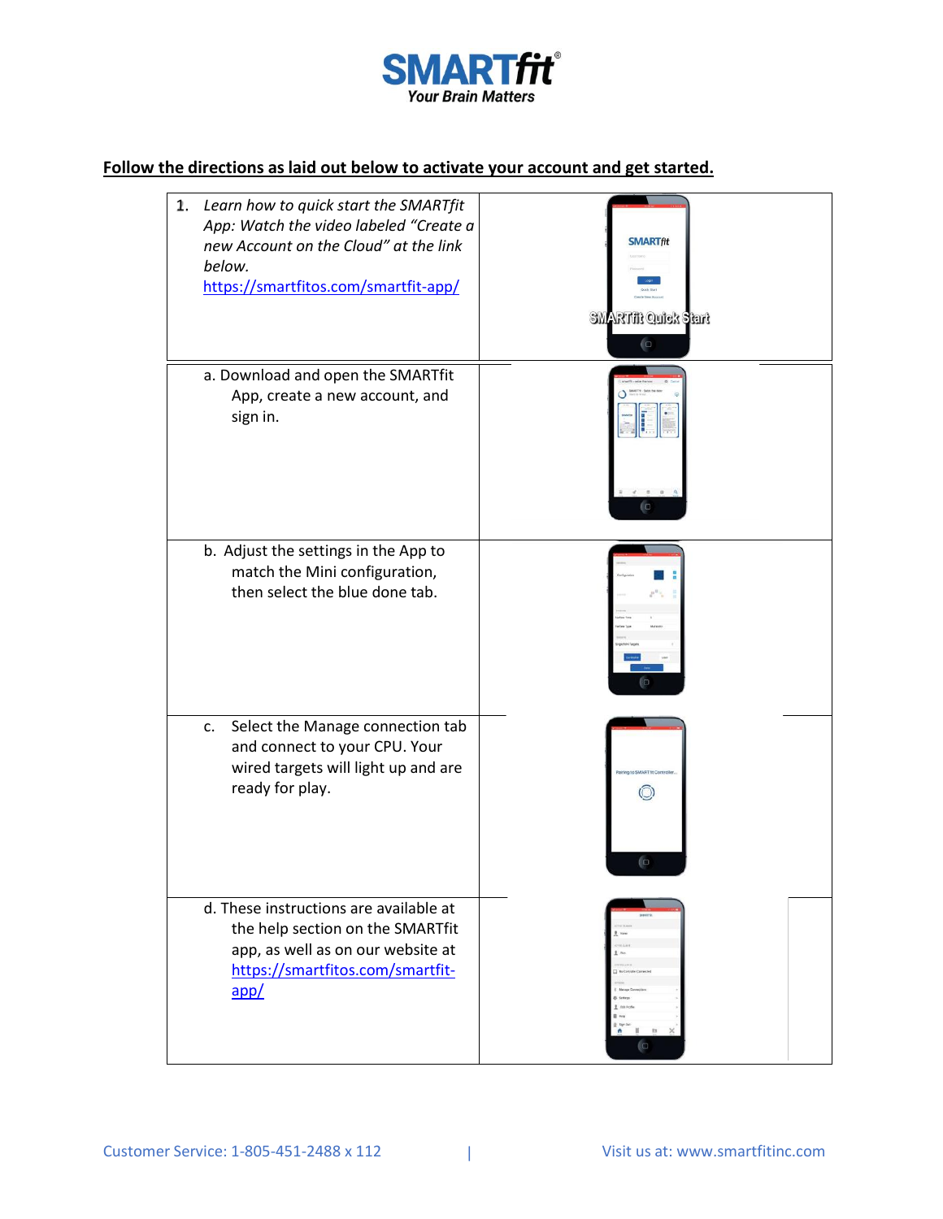

# **Follow the directions as laid out below to activate your account and get started.**

| 2.<br>Learn how to quick start the SMARTfit<br>App: Watch the video labeled "Create a<br>new Account on the Cloud" at the link<br>below.<br>https://smartfitos.com/smartfit-app/ | <b>SMARTftt</b><br><b>SMARTHE Quick Start</b><br>$\bigcirc$ |
|----------------------------------------------------------------------------------------------------------------------------------------------------------------------------------|-------------------------------------------------------------|
| a. Download and open the SMARTfit<br>App, create a new account, and<br>sign in.                                                                                                  |                                                             |
| b. Adjust the settings in the App to<br>match the Mini configuration,<br>then select the blue done tab.                                                                          |                                                             |
| Select the Manage connection tab<br>c.<br>and connect to your CPU. Your<br>wired targets will light up and are<br>ready for play.                                                | ľΟ                                                          |
| d. These instructions are available at<br>the help section on the SMARTfit<br>app, as well as on our website at<br>https://smartfitos.com/smartfit-<br>app/                      | G                                                           |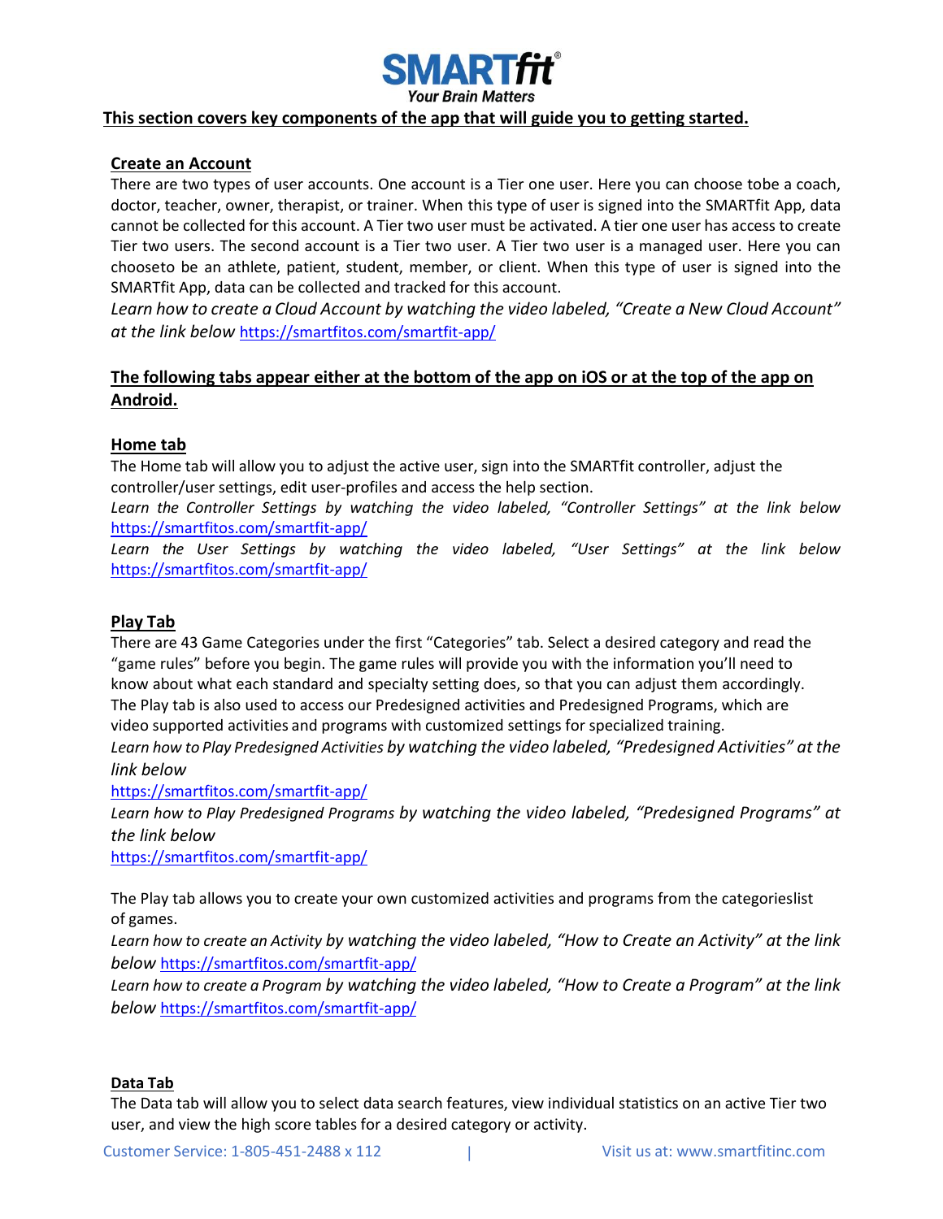

#### **This section covers key components of the app that will guide you to getting started.**

### **Create an Account**

There are two types of user accounts. One account is a Tier one user. Here you can choose tobe a coach, doctor, teacher, owner, therapist, or trainer. When this type of user is signed into the SMARTfit App, data cannot be collected for this account. A Tier two user must be activated. A tier one user has access to create Tier two users. The second account is a Tier two user. A Tier two user is a managed user. Here you can chooseto be an athlete, patient, student, member, or client. When this type of user is signed into the SMARTfit App, data can be collected and tracked for this account.

*Learn how to create a Cloud Account by watching the video labeled, "Create a New Cloud Account" at the link below* <https://smartfitos.com/smartfit-app/>

## **The following tabs appear either at the bottom of the app on iOS or at the top of the app on Android.**

#### **Home tab**

The Home tab will allow you to adjust the active user, sign into the SMARTfit controller, adjust the controller/user settings, edit user-profiles and access the help section.

*Learn the Controller Settings by watching the video labeled, "Controller Settings" at the link below* <https://smartfitos.com/smartfit-app/>

*Learn the User Settings by watching the video labeled, "User Settings" at the link below* <https://smartfitos.com/smartfit-app/>

#### **Play Tab**

There are 43 Game Categories under the first "Categories" tab. Select a desired category and read the "game rules" before you begin. The game rules will provide you with the information you'll need to know about what each standard and specialty setting does, so that you can adjust them accordingly. The Play tab is also used to access our Predesigned activities and Predesigned Programs, which are video supported activities and programs with customized settings for specialized training.

*Learn how to Play Predesigned Activities by watching the video labeled, "Predesigned Activities" at the link below*

<https://smartfitos.com/smartfit-app/>

*Learn how to Play Predesigned Programs by watching the video labeled, "Predesigned Programs" at the link below*

<https://smartfitos.com/smartfit-app/>

The Play tab allows you to create your own customized activities and programs from the categorieslist of games.

*Learn how to create an Activity by watching the video labeled, "How to Create an Activity" at the link below* <https://smartfitos.com/smartfit-app/>

*Learn how to create a Program by watching the video labeled, "How to Create a Program" at the link below* <https://smartfitos.com/smartfit-app/>

#### **Data Tab**

The Data tab will allow you to select data search features, view individual statistics on an active Tier two user, and view the high score tables for a desired category or activity.